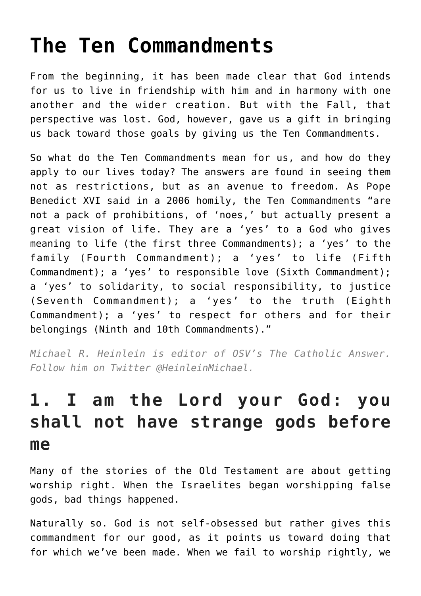# **[The Ten Commandments](https://www.osvnewsweekly.net/2017/03/16/the-ten-commandments/)**

From the beginning, it has been made clear that God intends for us to live in friendship with him and in harmony with one another and the wider creation. But with the Fall, that perspective was lost. God, however, gave us a gift in bringing us back toward those goals by giving us the Ten Commandments.

So what do the Ten Commandments mean for us, and how do they apply to our lives today? The answers are found in seeing them not as restrictions, but as an avenue to freedom. As Pope Benedict XVI said in a 2006 homily, the Ten Commandments "are not a pack of prohibitions, of 'noes,' but actually present a great vision of life. They are a 'yes' to a God who gives meaning to life (the first three Commandments); a 'yes' to the family (Fourth Commandment); a 'yes' to life (Fifth Commandment); a 'yes' to responsible love (Sixth Commandment); a 'yes' to solidarity, to social responsibility, to justice (Seventh Commandment); a 'yes' to the truth (Eighth Commandment); a 'yes' to respect for others and for their belongings (Ninth and 10th Commandments)."

*Michael R. Heinlein is editor of OSV's The Catholic Answer. Follow him on Twitter @HeinleinMichael.*

#### **1. I am the Lord your God: you shall not have strange gods before me**

Many of the stories of the Old Testament are about getting worship right. When the Israelites began worshipping false gods, bad things happened.

Naturally so. God is not self-obsessed but rather gives this commandment for our good, as it points us toward doing that for which we've been made. When we fail to worship rightly, we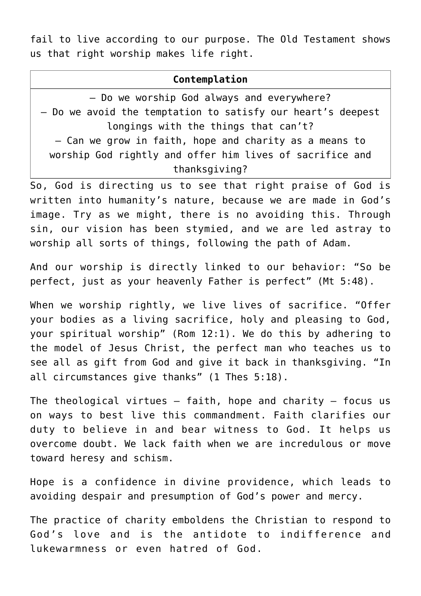fail to live according to our purpose. The Old Testament shows us that right worship makes life right.

#### **Contemplation**

– Do we worship God always and everywhere? – Do we avoid the temptation to satisfy our heart's deepest longings with the things that can't? – Can we grow in faith, hope and charity as a means to worship God rightly and offer him lives of sacrifice and thanksgiving?

So, God is directing us to see that right praise of God is written into humanity's nature, because we are made in God's image. Try as we might, there is no avoiding this. Through sin, our vision has been stymied, and we are led astray to worship all sorts of things, following the path of Adam.

And our worship is directly linked to our behavior: "So be perfect, just as your heavenly Father is perfect" (Mt 5:48).

When we worship rightly, we live lives of sacrifice. "Offer your bodies as a living sacrifice, holy and pleasing to God, your spiritual worship" (Rom 12:1). We do this by adhering to the model of Jesus Christ, the perfect man who teaches us to see all as gift from God and give it back in thanksgiving. "In all circumstances give thanks" (1 Thes 5:18).

The theological virtues  $-$  faith, hope and charity  $-$  focus us on ways to best live this commandment. Faith clarifies our duty to believe in and bear witness to God. It helps us overcome doubt. We lack faith when we are incredulous or move toward heresy and schism.

Hope is a confidence in divine providence, which leads to avoiding despair and presumption of God's power and mercy.

The practice of charity emboldens the Christian to respond to God's love and is the antidote to indifference and lukewarmness or even hatred of God.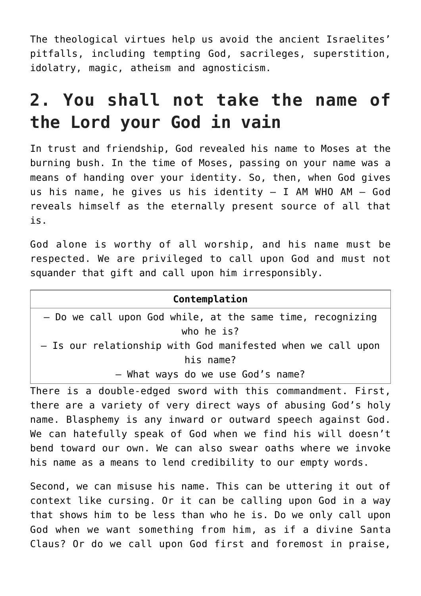The theological virtues help us avoid the ancient Israelites' pitfalls, including tempting God, sacrileges, superstition, idolatry, magic, atheism and agnosticism.

#### **2. You shall not take the name of the Lord your God in vain**

In trust and friendship, God revealed his name to Moses at the burning bush. In the time of Moses, passing on your name was a means of handing over your identity. So, then, when God gives us his name, he gives us his identity  $-$  I AM WHO AM  $-$  God reveals himself as the eternally present source of all that is.

God alone is worthy of all worship, and his name must be respected. We are privileged to call upon God and must not squander that gift and call upon him irresponsibly.

there are a variety of very direct ways of abusing God's holy name. Blasphemy is any inward or outward speech against God. We can hatefully speak of God when we find his will doesn't bend toward our own. We can also swear oaths where we invoke his name as a means to lend credibility to our empty words.

Second, we can misuse his name. This can be uttering it out of context like cursing. Or it can be calling upon God in a way that shows him to be less than who he is. Do we only call upon God when we want something from him, as if a divine Santa Claus? Or do we call upon God first and foremost in praise,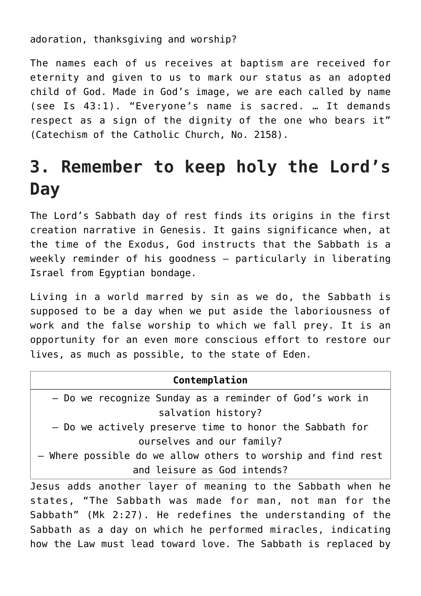adoration, thanksgiving and worship?

The names each of us receives at baptism are received for eternity and given to us to mark our status as an adopted child of God. Made in God's image, we are each called by name (see Is 43:1). "Everyone's name is sacred. … It demands respect as a sign of the dignity of the one who bears it" (Catechism of the Catholic Church, No. 2158).

### **3. Remember to keep holy the Lord's Day**

The Lord's Sabbath day of rest finds its origins in the first creation narrative in Genesis. It gains significance when, at the time of the Exodus, God instructs that the Sabbath is a weekly reminder of his goodness — particularly in liberating Israel from Egyptian bondage.

Living in a world marred by sin as we do, the Sabbath is supposed to be a day when we put aside the laboriousness of work and the false worship to which we fall prey. It is an opportunity for an even more conscious effort to restore our lives, as much as possible, to the state of Eden.

| Contemplation                                                |
|--------------------------------------------------------------|
| - Do we recognize Sunday as a reminder of God's work in      |
| salvation history?                                           |
| - Do we actively preserve time to honor the Sabbath for      |
| ourselves and our family?                                    |
| - Where possible do we allow others to worship and find rest |
| and leisure as God intends?                                  |
| Jesus adds another layer of meaning to the Sabbath when he   |

states, "The Sabbath was made for man, not man for the Sabbath" (Mk 2:27). He redefines the understanding of the Sabbath as a day on which he performed miracles, indicating how the Law must lead toward love. The Sabbath is replaced by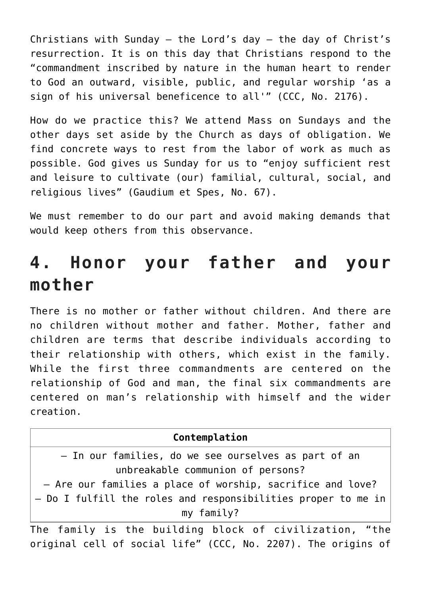Christians with Sunday  $-$  the Lord's day  $-$  the day of Christ's resurrection. It is on this day that Christians respond to the "commandment inscribed by nature in the human heart to render to God an outward, visible, public, and regular worship 'as a sign of his universal beneficence to all'" (CCC, No. 2176).

How do we practice this? We attend Mass on Sundays and the other days set aside by the Church as days of obligation. We find concrete ways to rest from the labor of work as much as possible. God gives us Sunday for us to "enjoy sufficient rest and leisure to cultivate (our) familial, cultural, social, and religious lives" (Gaudium et Spes, No. 67).

We must remember to do our part and avoid making demands that would keep others from this observance.

#### **4. Honor your father and your mother**

There is no mother or father without children. And there are no children without mother and father. Mother, father and children are terms that describe individuals according to their relationship with others, which exist in the family. While the first three commandments are centered on the relationship of God and man, the final six commandments are centered on man's relationship with himself and the wider creation.

| Contemplation                                                 |
|---------------------------------------------------------------|
| - In our families, do we see ourselves as part of an          |
| unbreakable communion of persons?                             |
| - Are our families a place of worship, sacrifice and love?    |
| - Do I fulfill the roles and responsibilities proper to me in |
| my family?                                                    |
| The fomily is the building block of sivilization "the         |

The family is the building block of civilization, "the original cell of social life" (CCC, No. 2207). The origins of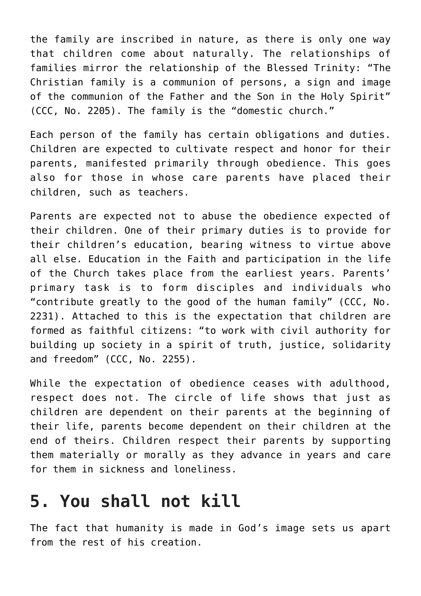the family are inscribed in nature, as there is only one way that children come about naturally. The relationships of families mirror the relationship of the Blessed Trinity: "The Christian family is a communion of persons, a sign and image of the communion of the Father and the Son in the Holy Spirit" (CCC, No. 2205). The family is the "domestic church."

Each person of the family has certain obligations and duties. Children are expected to cultivate respect and honor for their parents, manifested primarily through obedience. This goes also for those in whose care parents have placed their children, such as teachers.

Parents are expected not to abuse the obedience expected of their children. One of their primary duties is to provide for their children's education, bearing witness to virtue above all else. Education in the Faith and participation in the life of the Church takes place from the earliest years. Parents' primary task is to form disciples and individuals who "contribute greatly to the good of the human family" (CCC, No. 2231). Attached to this is the expectation that children are formed as faithful citizens: "to work with civil authority for building up society in a spirit of truth, justice, solidarity and freedom" (CCC, No. 2255).

While the expectation of obedience ceases with adulthood, respect does not. The circle of life shows that just as children are dependent on their parents at the beginning of their life, parents become dependent on their children at the end of theirs. Children respect their parents by supporting them materially or morally as they advance in years and care for them in sickness and loneliness.

#### **5. You shall not kill**

The fact that humanity is made in God's image sets us apart from the rest of his creation.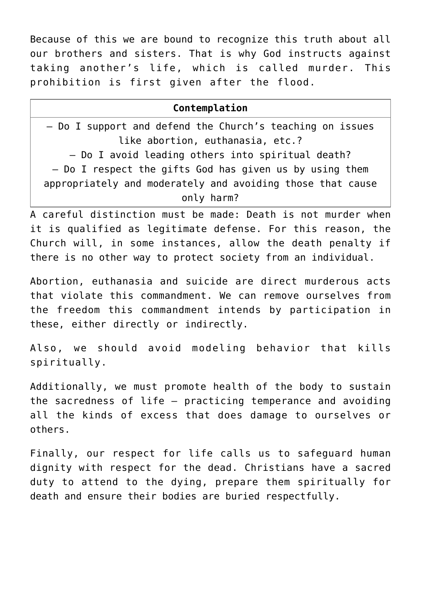Because of this we are bound to recognize this truth about all our brothers and sisters. That is why God instructs against taking another's life, which is called murder. This prohibition is first given after the flood.

| Contemplation                                              |
|------------------------------------------------------------|
| - Do I support and defend the Church's teaching on issues  |
| like abortion, euthanasia, etc.?                           |
| - Do I avoid leading others into spiritual death?          |
| - Do I respect the gifts God has given us by using them    |
| appropriately and moderately and avoiding those that cause |
| only harm?                                                 |

A careful distinction must be made: Death is not murder when it is qualified as legitimate defense. For this reason, the Church will, in some instances, allow the death penalty if there is no other way to protect society from an individual.

Abortion, euthanasia and suicide are direct murderous acts that violate this commandment. We can remove ourselves from the freedom this commandment intends by participation in these, either directly or indirectly.

Also, we should avoid modeling behavior that kills spiritually.

Additionally, we must promote health of the body to sustain the sacredness of life — practicing temperance and avoiding all the kinds of excess that does damage to ourselves or others.

Finally, our respect for life calls us to safeguard human dignity with respect for the dead. Christians have a sacred duty to attend to the dying, prepare them spiritually for death and ensure their bodies are buried respectfully.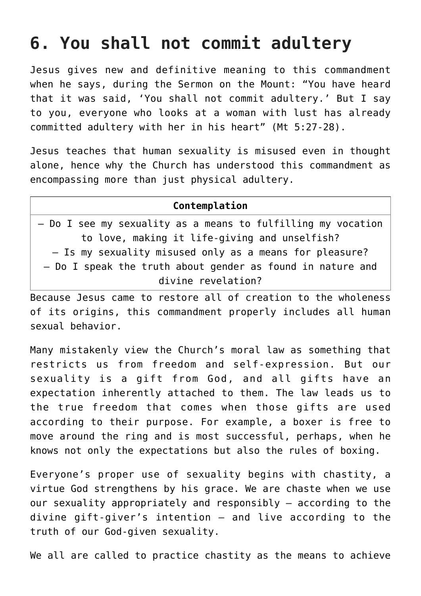#### **6. You shall not commit adultery**

Jesus gives new and definitive meaning to this commandment when he says, during the Sermon on the Mount: "You have heard that it was said, 'You shall not commit adultery.' But I say to you, everyone who looks at a woman with lust has already committed adultery with her in his heart" (Mt 5:27-28).

Jesus teaches that human sexuality is misused even in thought alone, hence why the Church has understood this commandment as encompassing more than just physical adultery.

#### **Contemplation** – Do I see my sexuality as a means to fulfilling my vocation to love, making it life-giving and unselfish? – Is my sexuality misused only as a means for pleasure? – Do I speak the truth about gender as found in nature and divine revelation?

Because Jesus came to restore all of creation to the wholeness of its origins, this commandment properly includes all human sexual behavior.

Many mistakenly view the Church's moral law as something that restricts us from freedom and self-expression. But our sexuality is a gift from God, and all gifts have an expectation inherently attached to them. The law leads us to the true freedom that comes when those gifts are used according to their purpose. For example, a boxer is free to move around the ring and is most successful, perhaps, when he knows not only the expectations but also the rules of boxing.

Everyone's proper use of sexuality begins with chastity, a virtue God strengthens by his grace. We are chaste when we use our sexuality appropriately and responsibly — according to the divine gift-giver's intention — and live according to the truth of our God-given sexuality.

We all are called to practice chastity as the means to achieve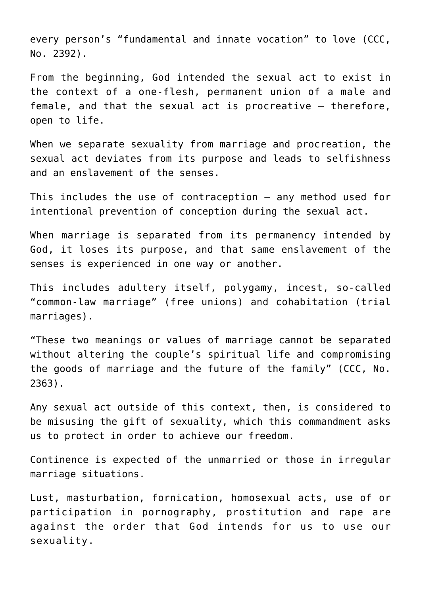every person's "fundamental and innate vocation" to love (CCC, No. 2392).

From the beginning, God intended the sexual act to exist in the context of a one-flesh, permanent union of a male and female, and that the sexual act is procreative — therefore, open to life.

When we separate sexuality from marriage and procreation, the sexual act deviates from its purpose and leads to selfishness and an enslavement of the senses.

This includes the use of contraception — any method used for intentional prevention of conception during the sexual act.

When marriage is separated from its permanency intended by God, it loses its purpose, and that same enslavement of the senses is experienced in one way or another.

This includes adultery itself, polygamy, incest, so-called "common-law marriage" (free unions) and cohabitation (trial marriages).

"These two meanings or values of marriage cannot be separated without altering the couple's spiritual life and compromising the goods of marriage and the future of the family" (CCC, No. 2363).

Any sexual act outside of this context, then, is considered to be misusing the gift of sexuality, which this commandment asks us to protect in order to achieve our freedom.

Continence is expected of the unmarried or those in irregular marriage situations.

Lust, masturbation, fornication, homosexual acts, use of or participation in pornography, prostitution and rape are against the order that God intends for us to use our sexuality.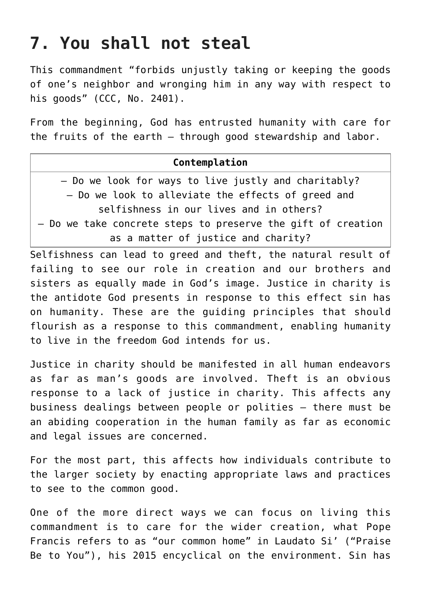## **7. You shall not steal**

This commandment "forbids unjustly taking or keeping the goods of one's neighbor and wronging him in any way with respect to his goods" (CCC, No. 2401).

From the beginning, God has entrusted humanity with care for the fruits of the earth — through good stewardship and labor.

| Contemplation                                                |
|--------------------------------------------------------------|
| - Do we look for ways to live justly and charitably?         |
| - Do we look to alleviate the effects of greed and           |
| selfishness in our lives and in others?                      |
| - Do we take concrete steps to preserve the gift of creation |
| as a matter of justice and charity?                          |

Selfishness can lead to greed and theft, the natural result of failing to see our role in creation and our brothers and sisters as equally made in God's image. Justice in charity is the antidote God presents in response to this effect sin has on humanity. These are the guiding principles that should flourish as a response to this commandment, enabling humanity to live in the freedom God intends for us.

Justice in charity should be manifested in all human endeavors as far as man's goods are involved. Theft is an obvious response to a lack of justice in charity. This affects any business dealings between people or polities — there must be an abiding cooperation in the human family as far as economic and legal issues are concerned.

For the most part, this affects how individuals contribute to the larger society by enacting appropriate laws and practices to see to the common good.

One of the more direct ways we can focus on living this commandment is to care for the wider creation, what Pope Francis refers to as "our common home" in Laudato Si' ("Praise Be to You"), his 2015 encyclical on the environment. Sin has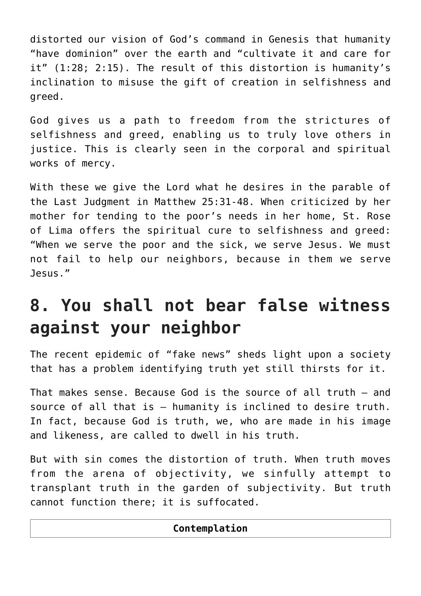distorted our vision of God's command in Genesis that humanity "have dominion" over the earth and "cultivate it and care for it" (1:28; 2:15). The result of this distortion is humanity's inclination to misuse the gift of creation in selfishness and greed.

God gives us a path to freedom from the strictures of selfishness and greed, enabling us to truly love others in justice. This is clearly seen in the corporal and spiritual works of mercy.

With these we give the Lord what he desires in the parable of the Last Judgment in Matthew 25:31-48. When criticized by her mother for tending to the poor's needs in her home, St. Rose of Lima offers the spiritual cure to selfishness and greed: "When we serve the poor and the sick, we serve Jesus. We must not fail to help our neighbors, because in them we serve Jesus."

### **8. You shall not bear false witness against your neighbor**

The recent epidemic of "fake news" sheds light upon a society that has a problem identifying truth yet still thirsts for it.

That makes sense. Because God is the source of all truth — and source of all that is — humanity is inclined to desire truth. In fact, because God is truth, we, who are made in his image and likeness, are called to dwell in his truth.

But with sin comes the distortion of truth. When truth moves from the arena of objectivity, we sinfully attempt to transplant truth in the garden of subjectivity. But truth cannot function there; it is suffocated.

| Contemplation |  |
|---------------|--|
|---------------|--|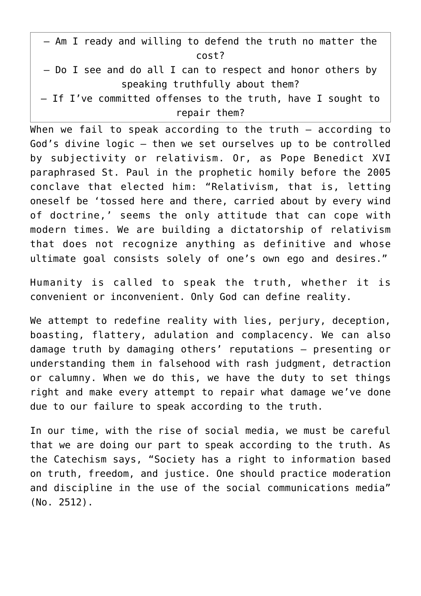| - Am I ready and willing to defend the truth no matter the  |
|-------------------------------------------------------------|
| cost?                                                       |
| - Do I see and do all I can to respect and honor others by  |
| speaking truthfully about them?                             |
| - If I've committed offenses to the truth, have I sought to |
| repair them?                                                |

When we fail to speak according to the truth — according to God's divine logic — then we set ourselves up to be controlled by subjectivity or relativism. Or, as Pope Benedict XVI paraphrased St. Paul in the prophetic homily before the 2005 conclave that elected him: "Relativism, that is, letting oneself be 'tossed here and there, carried about by every wind of doctrine,' seems the only attitude that can cope with modern times. We are building a dictatorship of relativism that does not recognize anything as definitive and whose ultimate goal consists solely of one's own ego and desires."

Humanity is called to speak the truth, whether it is convenient or inconvenient. Only God can define reality.

We attempt to redefine reality with lies, perjury, deception, boasting, flattery, adulation and complacency. We can also damage truth by damaging others' reputations — presenting or understanding them in falsehood with rash judgment, detraction or calumny. When we do this, we have the duty to set things right and make every attempt to repair what damage we've done due to our failure to speak according to the truth.

In our time, with the rise of social media, we must be careful that we are doing our part to speak according to the truth. As the Catechism says, "Society has a right to information based on truth, freedom, and justice. One should practice moderation and discipline in the use of the social communications media" (No. 2512).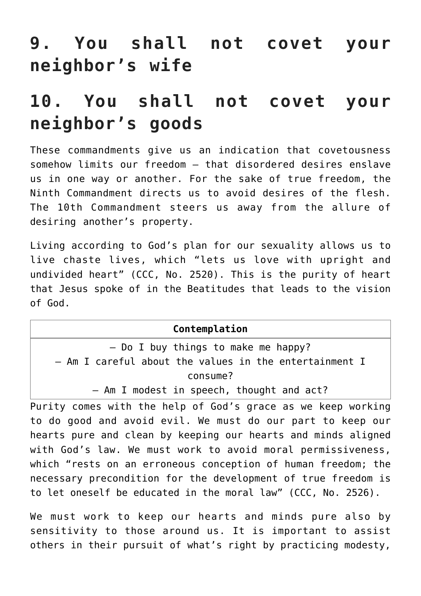## **9. You shall not covet your neighbor's wife**

#### **10. You shall not covet your neighbor's goods**

These commandments give us an indication that covetousness somehow limits our freedom — that disordered desires enslave us in one way or another. For the sake of true freedom, the Ninth Commandment directs us to avoid desires of the flesh. The 10th Commandment steers us away from the allure of desiring another's property.

Living according to God's plan for our sexuality allows us to live chaste lives, which "lets us love with upright and undivided heart" (CCC, No. 2520). This is the purity of heart that Jesus spoke of in the Beatitudes that leads to the vision of God.

| Contemplation                                                                               |
|---------------------------------------------------------------------------------------------|
| $-$ Do I buy things to make me happy?                                                       |
| - Am I careful about the values in the entertainment I                                      |
| consume?                                                                                    |
| - Am I modest in speech, thought and act?                                                   |
| Purity comes with the help of God's grace as we keep working                                |
| to do good and avoid evil. We must do our part to keep our                                  |
| الممسوك المنامات والمسامس والمستمر المستنمي وسائره ومنادرا المستمر المستمر ومستنس والمستمرة |

hearts pure and clean by keeping our hearts and minds aligned with God's law. We must work to avoid moral permissiveness, which "rests on an erroneous conception of human freedom; the necessary precondition for the development of true freedom is to let oneself be educated in the moral law" (CCC, No. 2526).

We must work to keep our hearts and minds pure also by sensitivity to those around us. It is important to assist others in their pursuit of what's right by practicing modesty,